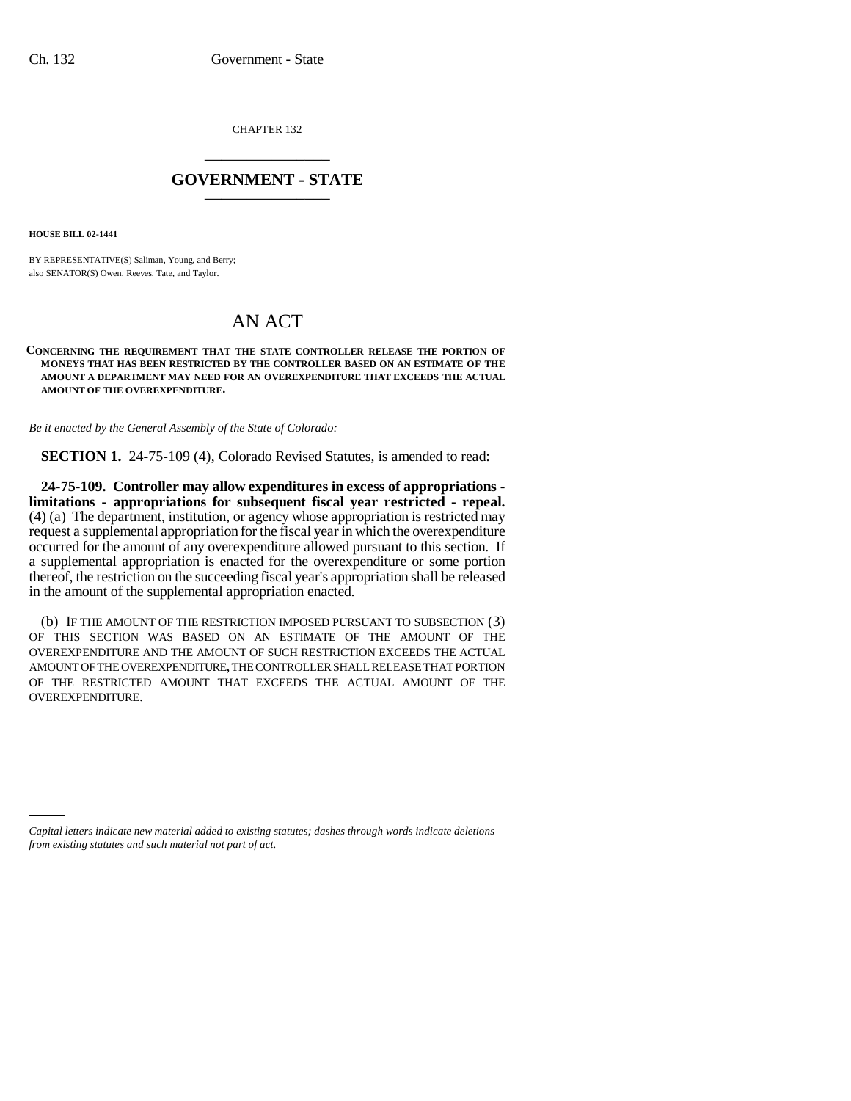CHAPTER 132 \_\_\_\_\_\_\_\_\_\_\_\_\_\_\_

## **GOVERNMENT - STATE** \_\_\_\_\_\_\_\_\_\_\_\_\_\_\_

**HOUSE BILL 02-1441**

BY REPRESENTATIVE(S) Saliman, Young, and Berry; also SENATOR(S) Owen, Reeves, Tate, and Taylor.

## AN ACT

## **CONCERNING THE REQUIREMENT THAT THE STATE CONTROLLER RELEASE THE PORTION OF MONEYS THAT HAS BEEN RESTRICTED BY THE CONTROLLER BASED ON AN ESTIMATE OF THE AMOUNT A DEPARTMENT MAY NEED FOR AN OVEREXPENDITURE THAT EXCEEDS THE ACTUAL AMOUNT OF THE OVEREXPENDITURE.**

*Be it enacted by the General Assembly of the State of Colorado:*

**SECTION 1.** 24-75-109 (4), Colorado Revised Statutes, is amended to read:

**24-75-109. Controller may allow expenditures in excess of appropriations limitations - appropriations for subsequent fiscal year restricted - repeal.** (4) (a) The department, institution, or agency whose appropriation is restricted may request a supplemental appropriation for the fiscal year in which the overexpenditure occurred for the amount of any overexpenditure allowed pursuant to this section. If a supplemental appropriation is enacted for the overexpenditure or some portion thereof, the restriction on the succeeding fiscal year's appropriation shall be released in the amount of the supplemental appropriation enacted.

(b) IF THE AMOUNT OF THE RESTRICTION IMPOSED PURSUANT TO SUBSECTION (3) OF THIS SECTION WAS BASED ON AN ESTIMATE OF THE AMOUNT OF THE OVEREXPENDITURE AND THE AMOUNT OF SUCH RESTRICTION EXCEEDS THE ACTUAL AMOUNT OF THE OVEREXPENDITURE, THE CONTROLLER SHALL RELEASE THAT PORTION OF THE RESTRICTED AMOUNT THAT EXCEEDS THE ACTUAL AMOUNT OF THE OVEREXPENDITURE.

*Capital letters indicate new material added to existing statutes; dashes through words indicate deletions from existing statutes and such material not part of act.*